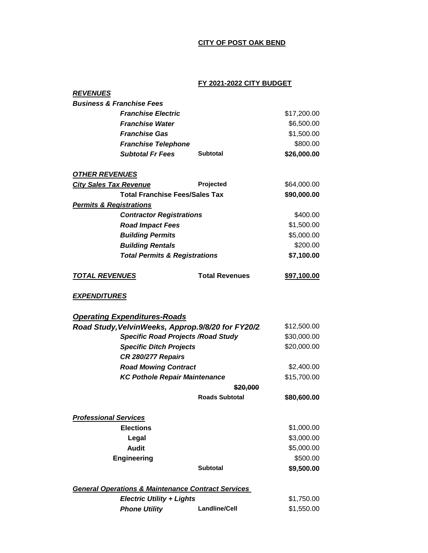## **CITY OF POST OAK BEND**

## **FY 2021-2022 CITY BUDGET**

| <b>REVENUES</b>                                               |                       |             |  |
|---------------------------------------------------------------|-----------------------|-------------|--|
| <b>Business &amp; Franchise Fees</b>                          |                       |             |  |
| <b>Franchise Electric</b>                                     |                       | \$17,200.00 |  |
| <b>Franchise Water</b>                                        |                       | \$6,500.00  |  |
| <b>Franchise Gas</b>                                          |                       | \$1,500.00  |  |
| <b>Franchise Telephone</b>                                    |                       | \$800.00    |  |
| <b>Subtotal Fr Fees</b>                                       | <b>Subtotal</b>       | \$26,000.00 |  |
| <b>OTHER REVENUES</b>                                         |                       |             |  |
| <b>City Sales Tax Revenue</b>                                 | Projected             | \$64,000.00 |  |
| <b>Total Franchise Fees/Sales Tax</b>                         |                       | \$90,000.00 |  |
| <b>Permits &amp; Registrations</b>                            |                       |             |  |
| <b>Contractor Registrations</b>                               |                       | \$400.00    |  |
| <b>Road Impact Fees</b>                                       |                       | \$1,500.00  |  |
| <b>Building Permits</b>                                       |                       | \$5,000.00  |  |
| <b>Building Rentals</b>                                       |                       | \$200.00    |  |
| <b>Total Permits &amp; Registrations</b>                      |                       | \$7,100.00  |  |
| <b>TOTAL REVENUES</b>                                         | <b>Total Revenues</b> | \$97,100.00 |  |
| <u>EXPENDITURES</u>                                           |                       |             |  |
| <b>Operating Expenditures-Roads</b>                           |                       |             |  |
| Road Study, VelvinWeeks, Approp.9/8/20 for FY20/2             |                       | \$12,500.00 |  |
| <b>Specific Road Projects / Road Study</b>                    |                       | \$30,000.00 |  |
| <b>Specific Ditch Projects</b>                                |                       | \$20,000.00 |  |
| CR 280/277 Repairs                                            |                       |             |  |
| <b>Road Mowing Contract</b>                                   |                       | \$2,400.00  |  |
| <b>KC Pothole Repair Maintenance</b>                          |                       | \$15,700.00 |  |
|                                                               | \$20,000              |             |  |
|                                                               | <b>Roads Subtotal</b> | \$80,600.00 |  |
| <b>Professional Services</b>                                  |                       |             |  |
| <b>Elections</b>                                              |                       | \$1,000.00  |  |
| Legal                                                         |                       | \$3,000.00  |  |
| <b>Audit</b>                                                  |                       | \$5,000.00  |  |
| <b>Engineering</b>                                            |                       | \$500.00    |  |
|                                                               | <b>Subtotal</b>       | \$9,500.00  |  |
| <b>General Operations &amp; Maintenance Contract Services</b> |                       |             |  |
| <b>Electric Utility + Lights</b>                              |                       | \$1,750.00  |  |
|                                                               |                       |             |  |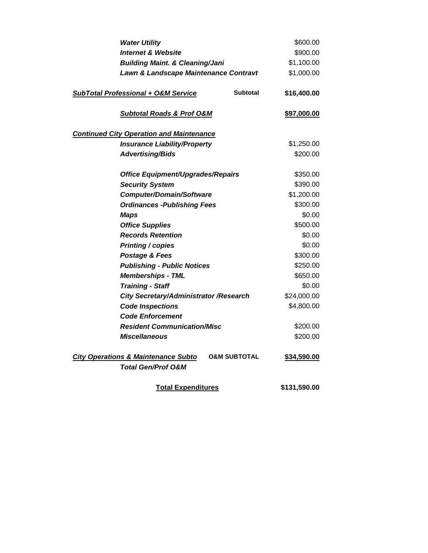| <b>Water Utility</b>                                                                                       | \$600.00     |
|------------------------------------------------------------------------------------------------------------|--------------|
| <b>Internet &amp; Website</b>                                                                              | \$900.00     |
| <b>Building Maint. &amp; Cleaning/Jani</b>                                                                 | \$1,100.00   |
| Lawn & Landscape Maintenance Contravt                                                                      | \$1,000.00   |
| <b>SubTotal Professional + O&amp;M Service</b><br><b>Subtotal</b>                                          | \$16,400.00  |
| <b>Subtotal Roads &amp; Prof O&amp;M</b>                                                                   | \$97,000.00  |
| <b>Continued City Operation and Maintenance</b>                                                            |              |
| <b>Insurance Liability/Property</b>                                                                        | \$1,250.00   |
| <b>Advertising/Bids</b>                                                                                    | \$200.00     |
| <b>Office Equipment/Upgrades/Repairs</b>                                                                   | \$350.00     |
| <b>Security System</b>                                                                                     | \$390.00     |
| <b>Computer/Domain/Software</b>                                                                            | \$1,200.00   |
| <b>Ordinances - Publishing Fees</b>                                                                        | \$300.00     |
| <b>Maps</b>                                                                                                | \$0.00       |
| <b>Office Supplies</b>                                                                                     | \$500.00     |
| <b>Records Retention</b>                                                                                   | \$0.00       |
| <b>Printing / copies</b>                                                                                   | \$0.00       |
| Postage & Fees                                                                                             | \$300.00     |
| <b>Publishing - Public Notices</b>                                                                         | \$250.00     |
| <b>Memberships - TML</b>                                                                                   | \$650.00     |
| <b>Training - Staff</b>                                                                                    | \$0.00       |
| City Secretary/Administrator / Research                                                                    | \$24,000.00  |
| <b>Code Inspections</b>                                                                                    | \$4,800.00   |
| <b>Code Enforcement</b>                                                                                    |              |
| <b>Resident Communication/Misc</b>                                                                         | \$200.00     |
| <b>Miscellaneous</b>                                                                                       | \$200.00     |
| <b>O&amp;M SUBTOTAL</b><br><b>City Operations &amp; Maintenance Subto</b><br><b>Total Gen/Prof O&amp;M</b> | \$34,590.00  |
| <b>Total Expenditures</b>                                                                                  | \$131,590.00 |